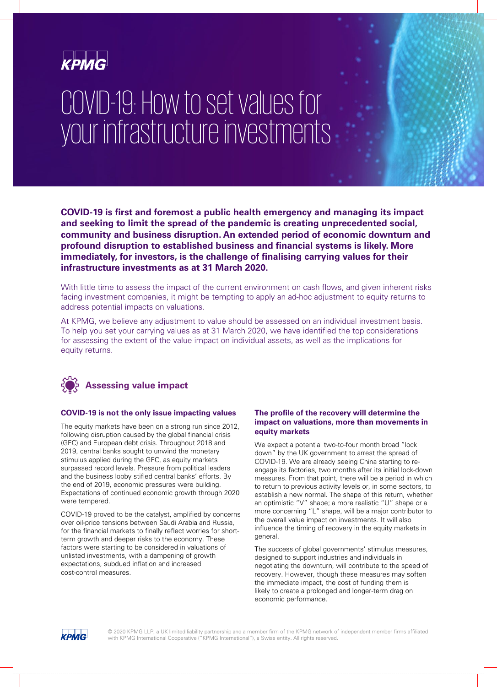

# COVID-19: How to set values for your infrastructure investments

**COVID-19 is first and foremost a public health emergency and managing its impact and seeking to limit the spread of the pandemic is creating unprecedented social, community and business disruption. An extended period of economic downturn and profound disruption to established business and financial systems is likely. More immediately, for investors, is the challenge of finalising carrying values for their infrastructure investments as at 31 March 2020.**

With little time to assess the impact of the current environment on cash flows, and given inherent risks facing investment companies, it might be tempting to apply an ad-hoc adjustment to equity returns to address potential impacts on valuations.

At KPMG, we believe any adjustment to value should be assessed on an individual investment basis. To help you set your carrying values as at 31 March 2020, we have identified the top considerations for assessing the extent of the value impact on individual assets, as well as the implications for equity returns.



#### **COVID-19 is not the only issue impacting values**

The equity markets have been on a strong run since 2012, following disruption caused by the global financial crisis (GFC) and European debt crisis. Throughout 2018 and 2019, central banks sought to unwind the monetary stimulus applied during the GFC, as equity markets surpassed record levels. Pressure from political leaders and the business lobby stifled central banks' efforts. By the end of 2019, economic pressures were building. Expectations of continued economic growth through 2020 were tempered.

COVID-19 proved to be the catalyst, amplified by concerns over oil-price tensions between Saudi Arabia and Russia, for the financial markets to finally reflect worries for shortterm growth and deeper risks to the economy. These factors were starting to be considered in valuations of unlisted investments, with a dampening of growth expectations, subdued inflation and increased cost-control measures.

# **The profile of the recovery will determine the impact on valuations, more than movements in equity markets**

We expect a potential two-to-four month broad "lock down" by the UK government to arrest the spread of COVID-19. We are already seeing China starting to reengage its factories, two months after its initial lock-down measures. From that point, there will be a period in which to return to previous activity levels or, in some sectors, to establish a new normal. The shape of this return, whether an optimistic "V" shape; a more realistic "U" shape or a more concerning "L" shape, will be a major contributor to the overall value impact on investments. It will also influence the timing of recovery in the equity markets in general.

The success of global governments' stimulus measures, designed to support industries and individuals in negotiating the downturn, will contribute to the speed of recovery. However, though these measures may soften the immediate impact, the cost of funding them is likely to create a prolonged and longer-term drag on economic performance.

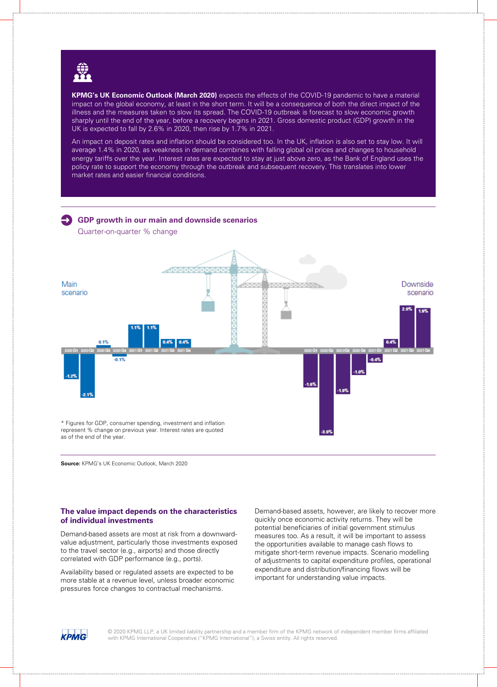

**KPMG's UK Economic Outlook (March 2020)** expects the effects of the COVID-19 pandemic to have a material impact on the global economy, at least in the short term. It will be a consequence of both the direct impact of the illness and the measures taken to slow its spread. The COVID-19 outbreak is forecast to slow economic growth sharply until the end of the year, before a recovery begins in 2021. Gross domestic product (GDP) growth in the UK is expected to fall by 2.6% in 2020, then rise by 1.7% in 2021.

An impact on deposit rates and inflation should be considered too. In the UK, inflation is also set to stay low. It will average 1.4% in 2020, as weakness in demand combines with falling global oil prices and changes to household energy tariffs over the year. Interest rates are expected to stay at just above zero, as the Bank of England uses the policy rate to support the economy through the outbreak and subsequent recovery. This translates into lower market rates and easier financial conditions.

# **GDP growth in our main and downside scenarios**

Quarter-on-quarter % change



**Source:** KPMG's UK Economic Outlook, March 2020

#### **The value impact depends on the characteristics of individual investments**

Demand-based assets are most at risk from a downwardvalue adjustment, particularly those investments exposed to the travel sector (e.g., airports) and those directly correlated with GDP performance (e.g., ports).

Availability based or regulated assets are expected to be more stable at a revenue level, unless broader economic pressures force changes to contractual mechanisms.

Demand-based assets, however, are likely to recover more quickly once economic activity returns. They will be potential beneficiaries of initial government stimulus measures too. As a result, it will be important to assess the opportunities available to manage cash flows to mitigate short-term revenue impacts. Scenario modelling of adjustments to capital expenditure profiles, operational expenditure and distribution/financing flows will be important for understanding value impacts.

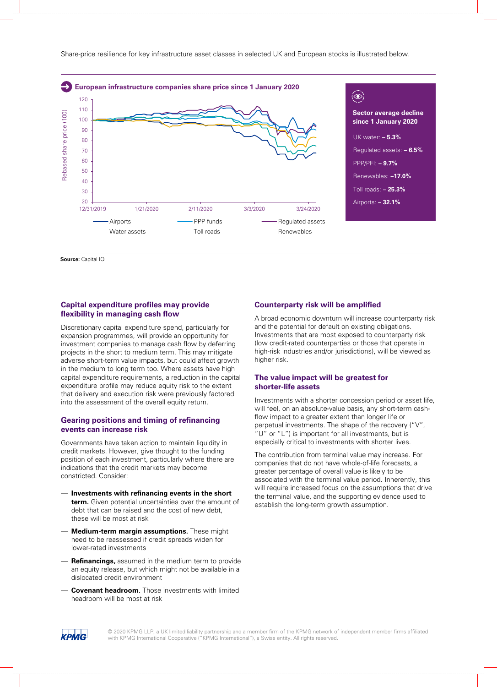

**Source: Capital IQ** 

#### **Capital expenditure profiles may provide flexibility in managing cash flow**

Discretionary capital expenditure spend, particularly for expansion programmes, will provide an opportunity for investment companies to manage cash flow by deferring projects in the short to medium term. This may mitigate adverse short-term value impacts, but could affect growth in the medium to long term too. Where assets have high capital expenditure requirements, a reduction in the capital expenditure profile may reduce equity risk to the extent that delivery and execution risk were previously factored into the assessment of the overall equity return.

# **Gearing positions and timing of refinancing events can increase risk**

Governments have taken action to maintain liquidity in credit markets. However, give thought to the funding position of each investment, particularly where there are indications that the credit markets may become constricted. Consider:

- **Investments with refinancing events in the short term.** Given potential uncertainties over the amount of debt that can be raised and the cost of new debt, these will be most at risk
- **Medium-term margin assumptions.** These might need to be reassessed if credit spreads widen for lower-rated investments
- **Refinancings,** assumed in the medium term to provide an equity release, but which might not be available in a dislocated credit environment
- **Covenant headroom.** Those investments with limited headroom will be most at risk

#### **Counterparty risk will be amplified**

A broad economic downturn will increase counterparty risk and the potential for default on existing obligations. Investments that are most exposed to counterparty risk (low credit-rated counterparties or those that operate in high-risk industries and/or jurisdictions), will be viewed as higher risk.

# **The value impact will be greatest for shorter-life assets**

Investments with a shorter concession period or asset life, will feel, on an absolute-value basis, any short-term cashflow impact to a greater extent than longer life or perpetual investments. The shape of the recovery ("V", "U" or "L") is important for all investments, but is especially critical to investments with shorter lives.

The contribution from terminal value may increase. For companies that do not have whole-of-life forecasts, a greater percentage of overall value is likely to be associated with the terminal value period. Inherently, this will require increased focus on the assumptions that drive the terminal value, and the supporting evidence used to establish the long-term growth assumption.

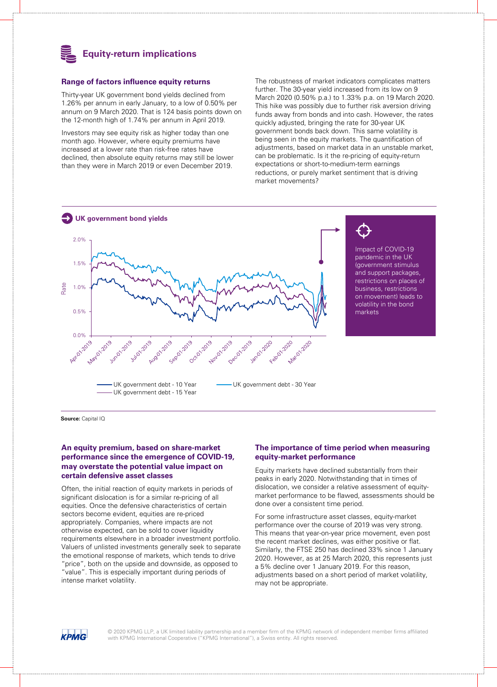

#### **Range of factors influence equity returns**

Thirty-year UK government bond yields declined from 1.26% per annum in early January, to a low of 0.50% per annum on 9 March 2020. That is 124 basis points down on the 12-month high of 1.74% per annum in April 2019.

Investors may see equity risk as higher today than one month ago. However, where equity premiums have increased at a lower rate than risk-free rates have declined, then absolute equity returns may still be lower than they were in March 2019 or even December 2019.

The robustness of market indicators complicates matters further. The 30-year yield increased from its low on 9 March 2020 (0.50% p.a.) to 1.33% p.a. on 19 March 2020. This hike was possibly due to further risk aversion driving funds away from bonds and into cash. However, the rates quickly adjusted, bringing the rate for 30-year UK government bonds back down. This same volatility is being seen in the equity markets. The quantification of adjustments, based on market data in an unstable market, can be problematic. Is it the re-pricing of equity-return expectations or short-to-medium-term earnings reductions, or purely market sentiment that is driving market movements?



**Source:** Capital IQ

# **An equity premium, based on share-market performance since the emergence of COVID-19, may overstate the potential value impact on certain defensive asset classes**

Often, the initial reaction of equity markets in periods of significant dislocation is for a similar re-pricing of all equities. Once the defensive characteristics of certain sectors become evident, equities are re-priced appropriately. Companies, where impacts are not otherwise expected, can be sold to cover liquidity requirements elsewhere in a broader investment portfolio. Valuers of unlisted investments generally seek to separate the emotional response of markets, which tends to drive "price", both on the upside and downside, as opposed to "value". This is especially important during periods of intense market volatility.

# **The importance of time period when measuring equity-market performance**

Equity markets have declined substantially from their peaks in early 2020. Notwithstanding that in times of dislocation, we consider a relative assessment of equitymarket performance to be flawed, assessments should be done over a consistent time period.

For some infrastructure asset classes, equity-market performance over the course of 2019 was very strong. This means that year-on-year price movement, even post the recent market declines, was either positive or flat. Similarly, the FTSE 250 has declined 33% since 1 January 2020. However, as at 25 March 2020, this represents just a 5% decline over 1 January 2019. For this reason, adjustments based on a short period of market volatility, may not be appropriate.

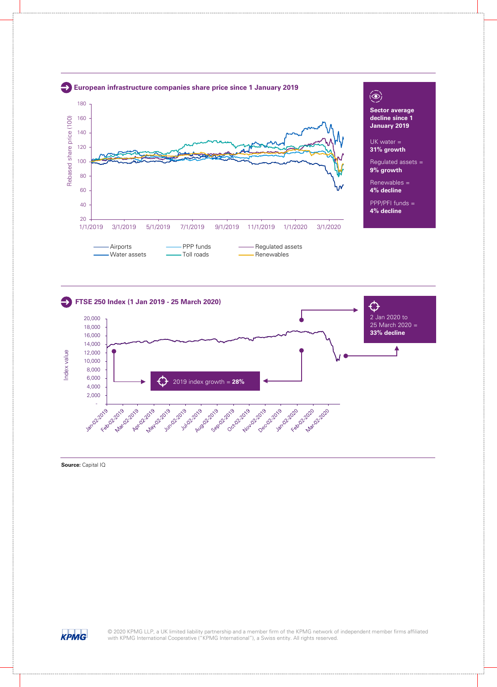



**Source: Capital IQ**